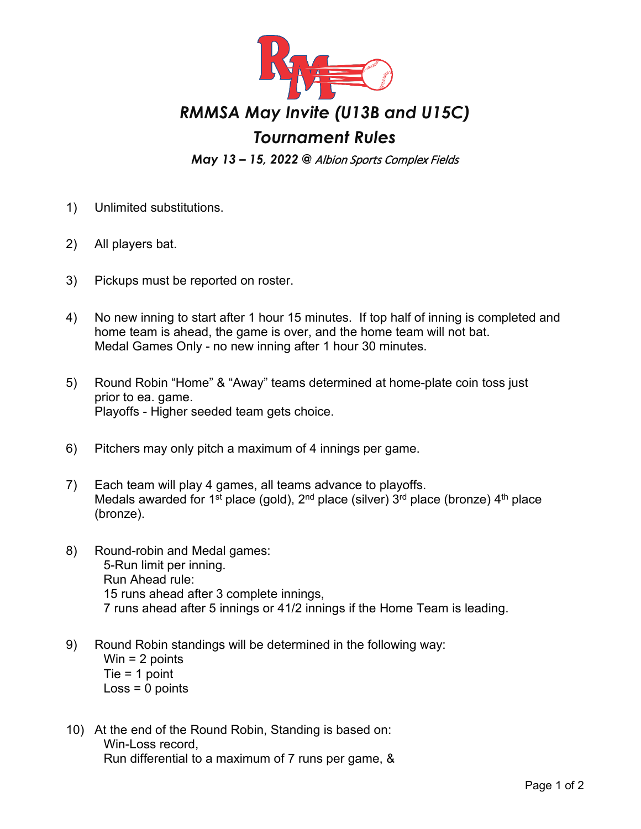

## *RMMSA May Invite (U13B and U15C)*

## *Tournament Rules*

*May 13 – 15, 2022 @* Albion Sports Complex Fields

- 1) Unlimited substitutions.
- 2) All players bat.
- 3) Pickups must be reported on roster.
- 4) No new inning to start after 1 hour 15 minutes. If top half of inning is completed and home team is ahead, the game is over, and the home team will not bat. Medal Games Only - no new inning after 1 hour 30 minutes.
- 5) Round Robin "Home" & "Away" teams determined at home-plate coin toss just prior to ea. game. Playoffs - Higher seeded team gets choice.
- 6) Pitchers may only pitch a maximum of 4 innings per game.
- 7) Each team will play 4 games, all teams advance to playoffs. Medals awarded for 1<sup>st</sup> place (gold), 2<sup>nd</sup> place (silver)  $3<sup>rd</sup>$  place (bronze) 4<sup>th</sup> place (bronze).
- 8) Round-robin and Medal games: 5-Run limit per inning. Run Ahead rule: 15 runs ahead after 3 complete innings, 7 runs ahead after 5 innings or 41/2 innings if the Home Team is leading.
- 9) Round Robin standings will be determined in the following way: Win  $= 2$  points Tie = 1 point  $Loss = 0$  points
- 10) At the end of the Round Robin, Standing is based on: Win-Loss record, Run differential to a maximum of 7 runs per game, &